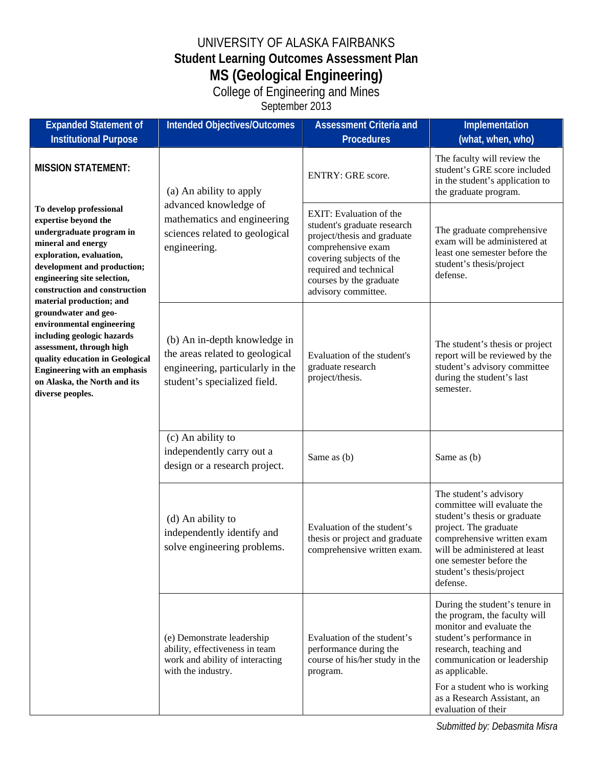## UNIVERSITY OF ALASKA FAIRBANKS **Student Learning Outcomes Assessment Plan MS (Geological Engineering)**

College of Engineering and Mines

September 2013

| <b>Expanded Statement of</b><br><b>Institutional Purpose</b>                                                                                                                                                                                                                                                                                                                                                                                                                                                                       | <b>Intended Objectives/Outcomes</b>                                                                                                 | <b>Assessment Criteria and</b><br><b>Procedures</b>                                                                                                                                                                        | Implementation<br>(what, when, who)                                                                                                                                                                                                              |
|------------------------------------------------------------------------------------------------------------------------------------------------------------------------------------------------------------------------------------------------------------------------------------------------------------------------------------------------------------------------------------------------------------------------------------------------------------------------------------------------------------------------------------|-------------------------------------------------------------------------------------------------------------------------------------|----------------------------------------------------------------------------------------------------------------------------------------------------------------------------------------------------------------------------|--------------------------------------------------------------------------------------------------------------------------------------------------------------------------------------------------------------------------------------------------|
| <b>MISSION STATEMENT:</b><br>To develop professional<br>expertise beyond the<br>undergraduate program in<br>mineral and energy<br>exploration, evaluation,<br>development and production;<br>engineering site selection,<br>construction and construction<br>material production; and<br>groundwater and geo-<br>environmental engineering<br>including geologic hazards<br>assessment, through high<br>quality education in Geological<br><b>Engineering with an emphasis</b><br>on Alaska, the North and its<br>diverse peoples. | (a) An ability to apply<br>advanced knowledge of<br>mathematics and engineering<br>sciences related to geological<br>engineering.   | ENTRY: GRE score.                                                                                                                                                                                                          | The faculty will review the<br>student's GRE score included<br>in the student's application to<br>the graduate program.                                                                                                                          |
|                                                                                                                                                                                                                                                                                                                                                                                                                                                                                                                                    |                                                                                                                                     | <b>EXIT:</b> Evaluation of the<br>student's graduate research<br>project/thesis and graduate<br>comprehensive exam<br>covering subjects of the<br>required and technical<br>courses by the graduate<br>advisory committee. | The graduate comprehensive<br>exam will be administered at<br>least one semester before the<br>student's thesis/project<br>defense.                                                                                                              |
|                                                                                                                                                                                                                                                                                                                                                                                                                                                                                                                                    | (b) An in-depth knowledge in<br>the areas related to geological<br>engineering, particularly in the<br>student's specialized field. | Evaluation of the student's<br>graduate research<br>project/thesis.                                                                                                                                                        | The student's thesis or project<br>report will be reviewed by the<br>student's advisory committee<br>during the student's last<br>semester.                                                                                                      |
|                                                                                                                                                                                                                                                                                                                                                                                                                                                                                                                                    | (c) An ability to<br>independently carry out a<br>design or a research project.                                                     | Same as (b)                                                                                                                                                                                                                | Same as (b)                                                                                                                                                                                                                                      |
|                                                                                                                                                                                                                                                                                                                                                                                                                                                                                                                                    | (d) An ability to<br>independently identify and<br>solve engineering problems.                                                      | Evaluation of the student's<br>thesis or project and graduate<br>comprehensive written exam.                                                                                                                               | The student's advisory<br>committee will evaluate the<br>student's thesis or graduate<br>project. The graduate<br>comprehensive written exam<br>will be administered at least<br>one semester before the<br>student's thesis/project<br>defense. |
|                                                                                                                                                                                                                                                                                                                                                                                                                                                                                                                                    | (e) Demonstrate leadership<br>ability, effectiveness in team<br>work and ability of interacting<br>with the industry.               | Evaluation of the student's<br>performance during the<br>course of his/her study in the<br>program.                                                                                                                        | During the student's tenure in<br>the program, the faculty will<br>monitor and evaluate the<br>student's performance in<br>research, teaching and<br>communication or leadership<br>as applicable.<br>For a student who is working               |
|                                                                                                                                                                                                                                                                                                                                                                                                                                                                                                                                    |                                                                                                                                     |                                                                                                                                                                                                                            | as a Research Assistant, an<br>evaluation of their                                                                                                                                                                                               |

*Submitted by: Debasmita Misra*